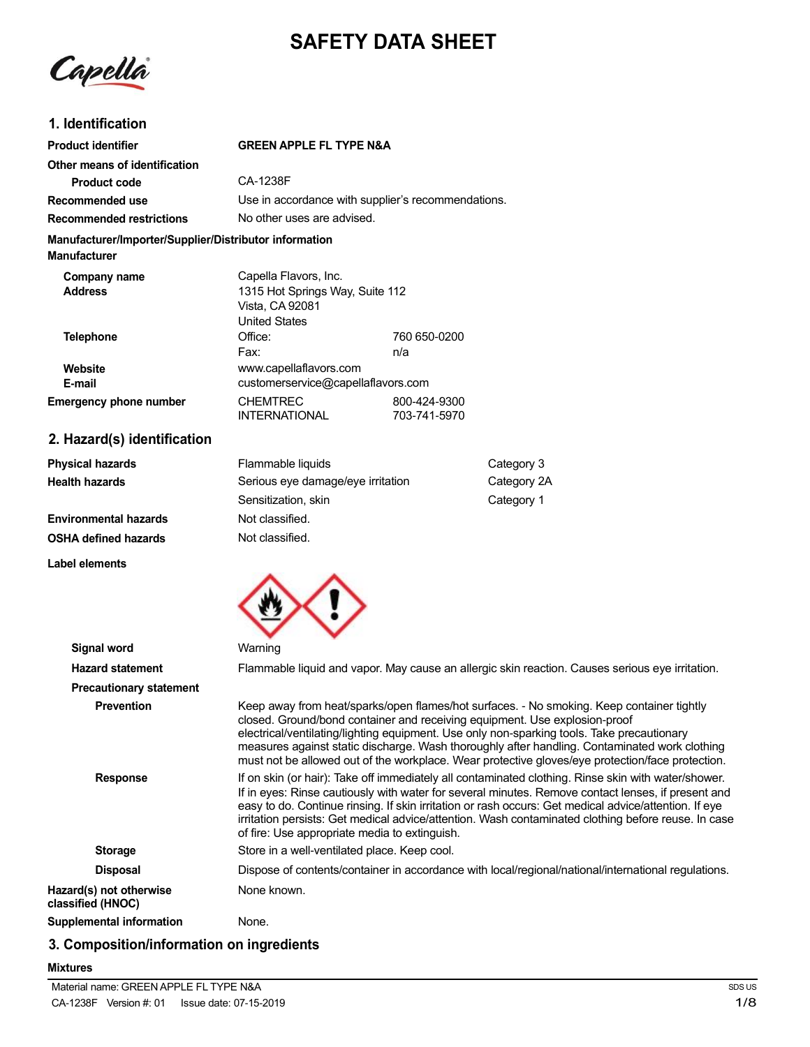# **SAFETY DATA SHEET**

Capella

## **1. Identification**

| <b>Product identifier</b>                                              | <b>GREEN APPLE FL TYPE N&amp;A</b>                                                                                                                                                                                                                                                                                                                                  |                                 |                                                                                                                                                     |  |
|------------------------------------------------------------------------|---------------------------------------------------------------------------------------------------------------------------------------------------------------------------------------------------------------------------------------------------------------------------------------------------------------------------------------------------------------------|---------------------------------|-----------------------------------------------------------------------------------------------------------------------------------------------------|--|
| Other means of identification                                          |                                                                                                                                                                                                                                                                                                                                                                     |                                 |                                                                                                                                                     |  |
| <b>Product code</b>                                                    | CA-1238F                                                                                                                                                                                                                                                                                                                                                            |                                 |                                                                                                                                                     |  |
| Recommended use                                                        | Use in accordance with supplier's recommendations.                                                                                                                                                                                                                                                                                                                  |                                 |                                                                                                                                                     |  |
| <b>Recommended restrictions</b>                                        | No other uses are advised.                                                                                                                                                                                                                                                                                                                                          |                                 |                                                                                                                                                     |  |
| Manufacturer/Importer/Supplier/Distributor information<br>Manufacturer |                                                                                                                                                                                                                                                                                                                                                                     |                                 |                                                                                                                                                     |  |
| Company name<br><b>Address</b>                                         | Capella Flavors, Inc.<br>Vista, CA 92081<br><b>United States</b>                                                                                                                                                                                                                                                                                                    | 1315 Hot Springs Way, Suite 112 |                                                                                                                                                     |  |
| <b>Telephone</b>                                                       | Office:                                                                                                                                                                                                                                                                                                                                                             | 760 650-0200                    |                                                                                                                                                     |  |
|                                                                        | Fax:                                                                                                                                                                                                                                                                                                                                                                | n/a                             |                                                                                                                                                     |  |
| <b>Website</b>                                                         |                                                                                                                                                                                                                                                                                                                                                                     | www.capellaflavors.com          |                                                                                                                                                     |  |
| E-mail                                                                 | customerservice@capellaflavors.com                                                                                                                                                                                                                                                                                                                                  |                                 |                                                                                                                                                     |  |
| <b>Emergency phone number</b>                                          | <b>CHEMTREC</b><br><b>INTERNATIONAL</b>                                                                                                                                                                                                                                                                                                                             | 800-424-9300<br>703-741-5970    |                                                                                                                                                     |  |
| 2. Hazard(s) identification                                            |                                                                                                                                                                                                                                                                                                                                                                     |                                 |                                                                                                                                                     |  |
| <b>Physical hazards</b>                                                | Flammable liquids                                                                                                                                                                                                                                                                                                                                                   |                                 | Category 3                                                                                                                                          |  |
| <b>Health hazards</b>                                                  | Serious eye damage/eye irritation                                                                                                                                                                                                                                                                                                                                   |                                 | Category 2A                                                                                                                                         |  |
|                                                                        | Sensitization, skin                                                                                                                                                                                                                                                                                                                                                 |                                 | Category 1                                                                                                                                          |  |
| <b>Environmental hazards</b>                                           | Not classified.                                                                                                                                                                                                                                                                                                                                                     |                                 |                                                                                                                                                     |  |
| OSHA defined hazards                                                   | Not classified.                                                                                                                                                                                                                                                                                                                                                     |                                 |                                                                                                                                                     |  |
| Label elements                                                         |                                                                                                                                                                                                                                                                                                                                                                     |                                 |                                                                                                                                                     |  |
|                                                                        |                                                                                                                                                                                                                                                                                                                                                                     |                                 |                                                                                                                                                     |  |
| <b>Signal word</b>                                                     | Warning                                                                                                                                                                                                                                                                                                                                                             |                                 |                                                                                                                                                     |  |
| <b>Hazard statement</b>                                                |                                                                                                                                                                                                                                                                                                                                                                     |                                 | Flammable liquid and vapor. May cause an allergic skin reaction. Cau                                                                                |  |
| <b>Precautionary statement</b>                                         |                                                                                                                                                                                                                                                                                                                                                                     |                                 |                                                                                                                                                     |  |
| <b>Prevention</b>                                                      | Keep away from heat/sparks/open flames/hot surfaces. - No smoking<br>closed. Ground/bond container and receiving equipment. Use explosi-<br>electrical/ventilating/lighting equipment. Use only non-sparking tools.<br>measures against static discharge. Wash thoroughly after handling. C<br>must not be allowed out of the workplace. Wear protective gloves/eye |                                 |                                                                                                                                                     |  |
| <b>Response</b>                                                        |                                                                                                                                                                                                                                                                                                                                                                     |                                 | If on skin (or hair): Take off immediately all contaminated clothing. Rin<br>If in eves: Rinse cautiously with water for several minutes. Remove co |  |

**Haara** is serious eye irritation. . Keep container tightly<br>on-proof closed. Ground/bond container and receiving equipment. Use explosion-proof Take precautionary ontaminated work clothing protection/face protection. **Response** If on the water/shower. ontact lenses, if present and easy to do. Continue rinsing. If skin irritation or rash occurs: Get medical advice/attention. If eye irritation persists: Get medical advice/attention. Wash contaminated clothing before reuse. In case of fire: Use appropriate media to extinguish. **Storage** Store in a well-ventilated place. Keep cool. **Disposal** Dispose of contents/container in accordance with local/regional/national/international regulations. **Hazard(s)** not otherwise None known. **classified (HNOC) Supplemental information** None.

## **3. Composition/information on ingredients**

#### **Mixtures**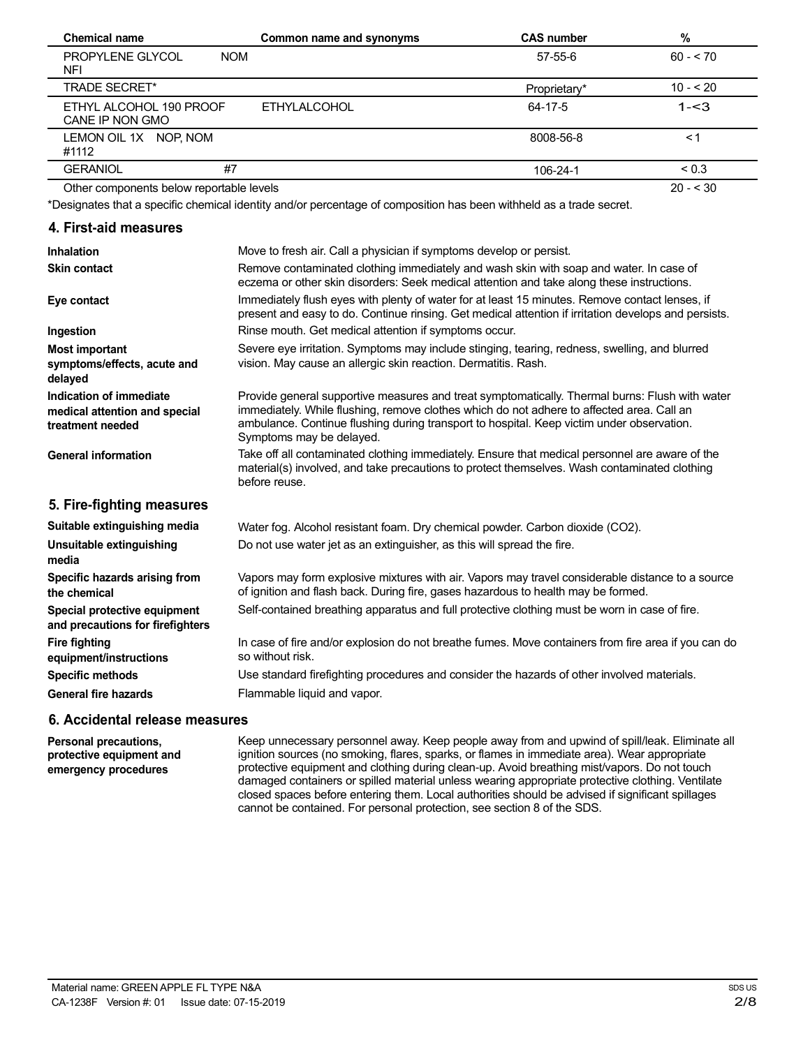| <b>Chemical name</b>                                | Common name and synonyms | <b>CAS number</b> | $\%$       |
|-----------------------------------------------------|--------------------------|-------------------|------------|
| <b>PROPYLENE GLYCOL</b><br><b>NOM</b><br><b>NFI</b> |                          | 57-55-6           | $60 - 70$  |
| <b>TRADE SECRET*</b>                                |                          | Proprietary*      | $10 - 20$  |
| ETHYL ALCOHOL 190 PROOF<br>CANE IP NON GMO          | <b>ETHYLALCOHOL</b>      | 64-17-5           | $1 - 3$    |
| LEMON OIL 1X NOP, NOM<br>#1112                      |                          | 8008-56-8         | $\leq$ 1   |
| #7<br><b>GERANIOL</b>                               |                          | 106-24-1          | ${}_{0.3}$ |
| Other components below reportable levels            |                          |                   | $20 - 530$ |

Other components below reportable levels

\*Designates that a specific chemical identity and/or percentage of composition has been withheld as a trade secret.

## **4. First-aid measures**

| <b>Inhalation</b>                                                            | Move to fresh air. Call a physician if symptoms develop or persist.                                                                                                                                                                                                                                                  |
|------------------------------------------------------------------------------|----------------------------------------------------------------------------------------------------------------------------------------------------------------------------------------------------------------------------------------------------------------------------------------------------------------------|
| <b>Skin contact</b>                                                          | Remove contaminated clothing immediately and wash skin with soap and water. In case of<br>eczema or other skin disorders: Seek medical attention and take along these instructions.                                                                                                                                  |
| Eye contact                                                                  | Immediately flush eyes with plenty of water for at least 15 minutes. Remove contact lenses, if<br>present and easy to do. Continue rinsing. Get medical attention if irritation develops and persists.                                                                                                               |
| Ingestion                                                                    | Rinse mouth. Get medical attention if symptoms occur.                                                                                                                                                                                                                                                                |
| <b>Most important</b>                                                        | Severe eye irritation. Symptoms may include stinging, tearing, redness, swelling, and blurred                                                                                                                                                                                                                        |
| symptoms/effects, acute and<br>delayed                                       | vision. May cause an allergic skin reaction. Dermatitis. Rash.                                                                                                                                                                                                                                                       |
| Indication of immediate<br>medical attention and special<br>treatment needed | Provide general supportive measures and treat symptomatically. Thermal burns: Flush with water<br>immediately. While flushing, remove clothes which do not adhere to affected area. Call an<br>ambulance. Continue flushing during transport to hospital. Keep victim under observation.<br>Symptoms may be delayed. |
| <b>General information</b>                                                   | Take off all contaminated clothing immediately. Ensure that medical personnel are aware of the<br>material(s) involved, and take precautions to protect themselves. Wash contaminated clothing<br>before reuse.                                                                                                      |
| 5. Fire-fighting measures                                                    |                                                                                                                                                                                                                                                                                                                      |
| Suitable extinguishing media                                                 | Water fog. Alcohol resistant foam. Dry chemical powder. Carbon dioxide (CO2).                                                                                                                                                                                                                                        |
| Unsuitable extinguishing<br>media                                            | Do not use water jet as an extinguisher, as this will spread the fire.                                                                                                                                                                                                                                               |
| Specific hazards arising from<br>the chemical                                | Vapors may form explosive mixtures with air. Vapors may travel considerable distance to a source<br>of ignition and flash back. During fire, gases hazardous to health may be formed.                                                                                                                                |
| Special protective equipment<br>and precautions for firefighters             | Self-contained breathing apparatus and full protective clothing must be worn in case of fire.                                                                                                                                                                                                                        |
| <b>Fire fighting</b><br>equipment/instructions                               | In case of fire and/or explosion do not breathe fumes. Move containers from fire area if you can do<br>so without risk.                                                                                                                                                                                              |
| <b>Specific methods</b>                                                      | Use standard firefighting procedures and consider the hazards of other involved materials.                                                                                                                                                                                                                           |
| <b>General fire hazards</b>                                                  | Flammable liquid and vapor.                                                                                                                                                                                                                                                                                          |

## **6. Accidental release measures**

**Personal precautions, protective equipment and emergency procedures**

Keep unnecessary personnel away. Keep people away from and upwind of spill/leak. Eliminate all ignition sources (no smoking, flares, sparks, or flames in immediate area). Wear appropriate protective equipment and clothing during clean-up. Avoid breathing mist/vapors. Do not touch damaged containers or spilled material unless wearing appropriate protective clothing. Ventilate closed spaces before entering them. Local authorities should be advised if significant spillages cannot be contained. For personal protection, see section 8 of the SDS.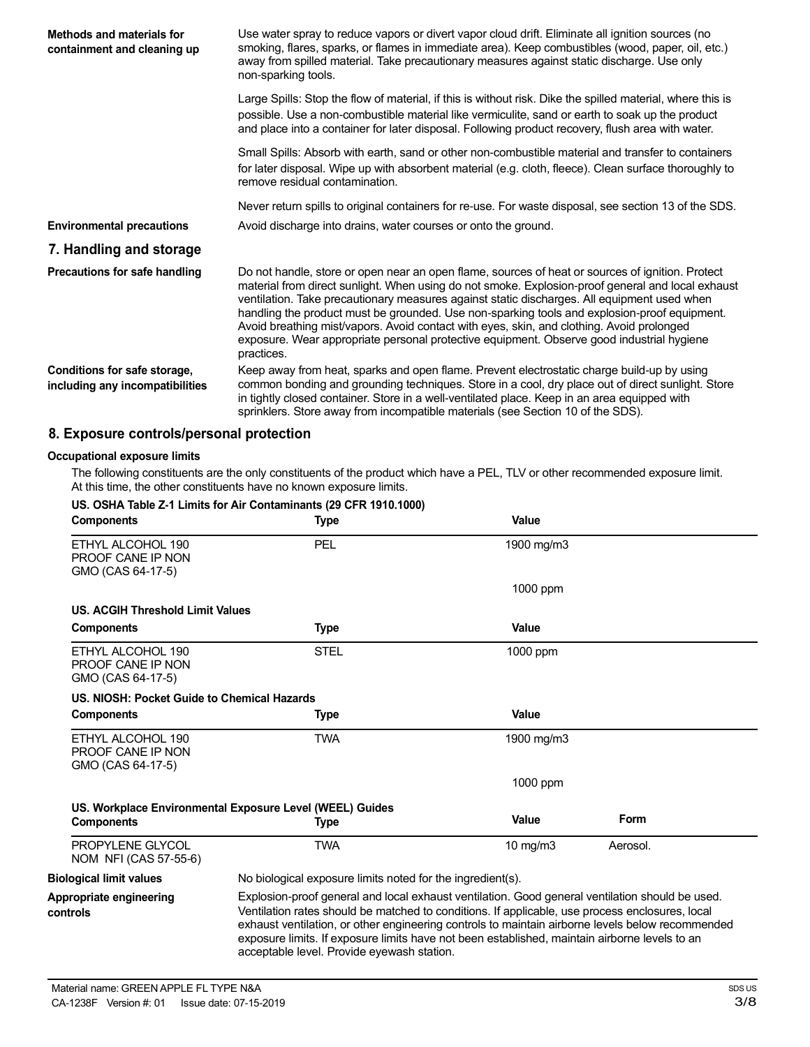| Methods and materials for<br>containment and cleaning up        | Use water spray to reduce vapors or divert vapor cloud drift. Eliminate all ignition sources (no<br>smoking, flares, sparks, or flames in immediate area). Keep combustibles (wood, paper, oil, etc.)<br>away from spilled material. Take precautionary measures against static discharge. Use only<br>non-sparking tools.                                                                                                                                                                                                                                                                                   |
|-----------------------------------------------------------------|--------------------------------------------------------------------------------------------------------------------------------------------------------------------------------------------------------------------------------------------------------------------------------------------------------------------------------------------------------------------------------------------------------------------------------------------------------------------------------------------------------------------------------------------------------------------------------------------------------------|
|                                                                 | Large Spills: Stop the flow of material, if this is without risk. Dike the spilled material, where this is<br>possible. Use a non-combustible material like vermiculite, sand or earth to soak up the product<br>and place into a container for later disposal. Following product recovery, flush area with water.                                                                                                                                                                                                                                                                                           |
|                                                                 | Small Spills: Absorb with earth, sand or other non-combustible material and transfer to containers<br>for later disposal. Wipe up with absorbent material (e.g. cloth, fleece). Clean surface thoroughly to<br>remove residual contamination.                                                                                                                                                                                                                                                                                                                                                                |
|                                                                 | Never return spills to original containers for re-use. For waste disposal, see section 13 of the SDS.                                                                                                                                                                                                                                                                                                                                                                                                                                                                                                        |
| <b>Environmental precautions</b>                                | Avoid discharge into drains, water courses or onto the ground.                                                                                                                                                                                                                                                                                                                                                                                                                                                                                                                                               |
| 7. Handling and storage                                         |                                                                                                                                                                                                                                                                                                                                                                                                                                                                                                                                                                                                              |
| Precautions for safe handling                                   | Do not handle, store or open near an open flame, sources of heat or sources of ignition. Protect<br>material from direct sunlight. When using do not smoke. Explosion-proof general and local exhaust<br>ventilation. Take precautionary measures against static discharges. All equipment used when<br>handling the product must be grounded. Use non-sparking tools and explosion-proof equipment.<br>Avoid breathing mist/vapors. Avoid contact with eyes, skin, and clothing. Avoid prolonged<br>exposure. Wear appropriate personal protective equipment. Observe good industrial hygiene<br>practices. |
| Conditions for safe storage,<br>including any incompatibilities | Keep away from heat, sparks and open flame. Prevent electrostatic charge build-up by using<br>common bonding and grounding techniques. Store in a cool, dry place out of direct sunlight. Store<br>in tightly closed container. Store in a well-ventilated place. Keep in an area equipped with<br>sprinklers. Store away from incompatible materials (see Section 10 of the SDS).                                                                                                                                                                                                                           |

## **8. Exposure controls/personal protection**

#### **Occupational exposure limits**

The following constituents are the only constituents of the product which have a PEL, TLV or other recommended exposure limit. At this time, the other constituents have no known exposure limits.

| <b>Components</b>                                                  | <b>Type</b>                                                                                                                                                                                                                                                                                                                                                                                                                                           | Value         |          |
|--------------------------------------------------------------------|-------------------------------------------------------------------------------------------------------------------------------------------------------------------------------------------------------------------------------------------------------------------------------------------------------------------------------------------------------------------------------------------------------------------------------------------------------|---------------|----------|
| ETHYL ALCOHOL 190<br>PROOF CANE IP NON<br>GMO (CAS 64-17-5)        | PEL                                                                                                                                                                                                                                                                                                                                                                                                                                                   | 1900 mg/m3    |          |
|                                                                    |                                                                                                                                                                                                                                                                                                                                                                                                                                                       | 1000 ppm      |          |
| <b>US. ACGIH Threshold Limit Values</b>                            |                                                                                                                                                                                                                                                                                                                                                                                                                                                       |               |          |
| <b>Components</b>                                                  | <b>Type</b>                                                                                                                                                                                                                                                                                                                                                                                                                                           | Value         |          |
| ETHYL ALCOHOL 190<br><b>PROOF CANE IP NON</b><br>GMO (CAS 64-17-5) | <b>STEL</b>                                                                                                                                                                                                                                                                                                                                                                                                                                           | 1000 ppm      |          |
| US. NIOSH: Pocket Guide to Chemical Hazards                        |                                                                                                                                                                                                                                                                                                                                                                                                                                                       |               |          |
| <b>Components</b>                                                  | Type                                                                                                                                                                                                                                                                                                                                                                                                                                                  | Value         |          |
| ETHYL ALCOHOL 190<br>PROOF CANE IP NON<br>GMO (CAS 64-17-5)        | <b>TWA</b>                                                                                                                                                                                                                                                                                                                                                                                                                                            | 1900 mg/m3    |          |
|                                                                    |                                                                                                                                                                                                                                                                                                                                                                                                                                                       | 1000 ppm      |          |
|                                                                    | US. Workplace Environmental Exposure Level (WEEL) Guides                                                                                                                                                                                                                                                                                                                                                                                              |               |          |
| <b>Components</b>                                                  | Type                                                                                                                                                                                                                                                                                                                                                                                                                                                  | Value         | Form     |
| PROPYLENE GLYCOL<br>NOM NFI (CAS 57-55-6)                          | <b>TWA</b>                                                                                                                                                                                                                                                                                                                                                                                                                                            | $10$ mg/m $3$ | Aerosol. |
| <b>Biological limit values</b>                                     | No biological exposure limits noted for the ingredient(s).                                                                                                                                                                                                                                                                                                                                                                                            |               |          |
| Appropriate engineering<br>controls                                | Explosion-proof general and local exhaust ventilation. Good general ventilation should be used.<br>Ventilation rates should be matched to conditions. If applicable, use process enclosures, local<br>exhaust ventilation, or other engineering controls to maintain airborne levels below recommended<br>exposure limits. If exposure limits have not been established, maintain airborne levels to an<br>acceptable level. Provide eyewash station. |               |          |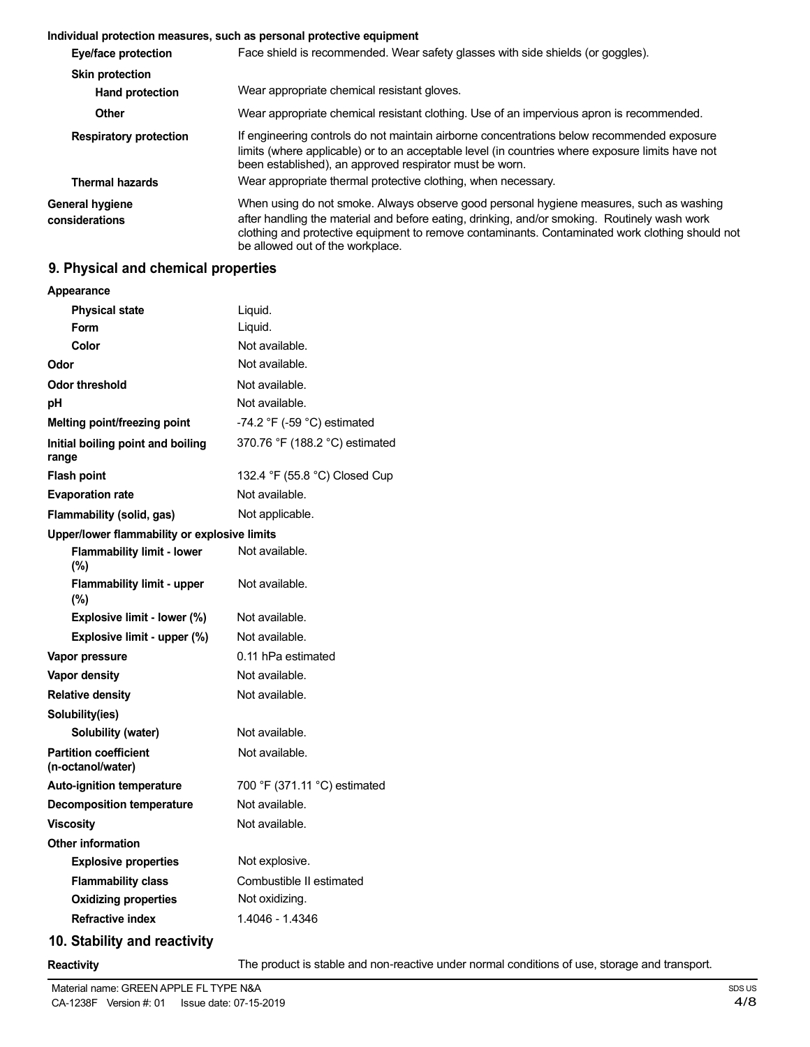#### **Individual protection measures, such as personal protective equipment**

| Eye/face protection               | Face shield is recommended. Wear safety glasses with side shields (or goggles).                                                                                                                                                                                                                                                |
|-----------------------------------|--------------------------------------------------------------------------------------------------------------------------------------------------------------------------------------------------------------------------------------------------------------------------------------------------------------------------------|
| <b>Skin protection</b>            |                                                                                                                                                                                                                                                                                                                                |
| <b>Hand protection</b>            | Wear appropriate chemical resistant gloves.                                                                                                                                                                                                                                                                                    |
| Other                             | Wear appropriate chemical resistant clothing. Use of an impervious apron is recommended.                                                                                                                                                                                                                                       |
| <b>Respiratory protection</b>     | If engineering controls do not maintain airborne concentrations below recommended exposure<br>limits (where applicable) or to an acceptable level (in countries where exposure limits have not<br>been established), an approved respirator must be worn.                                                                      |
| <b>Thermal hazards</b>            | Wear appropriate thermal protective clothing, when necessary.                                                                                                                                                                                                                                                                  |
| General hygiene<br>considerations | When using do not smoke. Always observe good personal hygiene measures, such as washing<br>after handling the material and before eating, drinking, and/or smoking. Routinely wash work<br>clothing and protective equipment to remove contaminants. Contaminated work clothing should not<br>be allowed out of the workplace. |

## **9. Physical and chemical properties**

| Appearance                                        |                                               |
|---------------------------------------------------|-----------------------------------------------|
| <b>Physical state</b>                             | Liquid.                                       |
| <b>Form</b>                                       | Liquid.                                       |
| Color                                             | Not available.                                |
| Odor                                              | Not available.                                |
| <b>Odor threshold</b>                             | Not available.                                |
| рH                                                | Not available.                                |
| Melting point/freezing point                      | -74.2 $\degree$ F (-59 $\degree$ C) estimated |
| Initial boiling point and boiling<br>range        | 370.76 °F (188.2 °C) estimated                |
| <b>Flash point</b>                                | 132.4 °F (55.8 °C) Closed Cup                 |
| <b>Evaporation rate</b>                           | Not available.                                |
| Flammability (solid, gas)                         | Not applicable.                               |
| Upper/lower flammability or explosive limits      |                                               |
| <b>Flammability limit - lower</b><br>(%)          | Not available.                                |
| <b>Flammability limit - upper</b><br>(%)          | Not available.                                |
| Explosive limit - lower (%)                       | Not available.                                |
| Explosive limit - upper (%)                       | Not available.                                |
| Vapor pressure                                    | 0.11 hPa estimated                            |
| Vapor density                                     | Not available.                                |
| <b>Relative density</b>                           | Not available.                                |
| Solubility(ies)                                   |                                               |
| Solubility (water)                                | Not available.                                |
| <b>Partition coefficient</b><br>(n-octanol/water) | Not available.                                |
| <b>Auto-ignition temperature</b>                  | 700 °F (371.11 °C) estimated                  |
| <b>Decomposition temperature</b>                  | Not available.                                |
| <b>Viscosity</b>                                  | Not available.                                |
| <b>Other information</b>                          |                                               |
| <b>Explosive properties</b>                       | Not explosive.                                |
| <b>Flammability class</b>                         | Combustible II estimated                      |
| <b>Oxidizing properties</b>                       | Not oxidizing.                                |
| <b>Refractive index</b>                           | 1.4046 - 1.4346                               |
| 10. Stability and reactivity                      |                                               |

**Reactivity** The product is stable and non-reactive under normal conditions of use, storage and transport.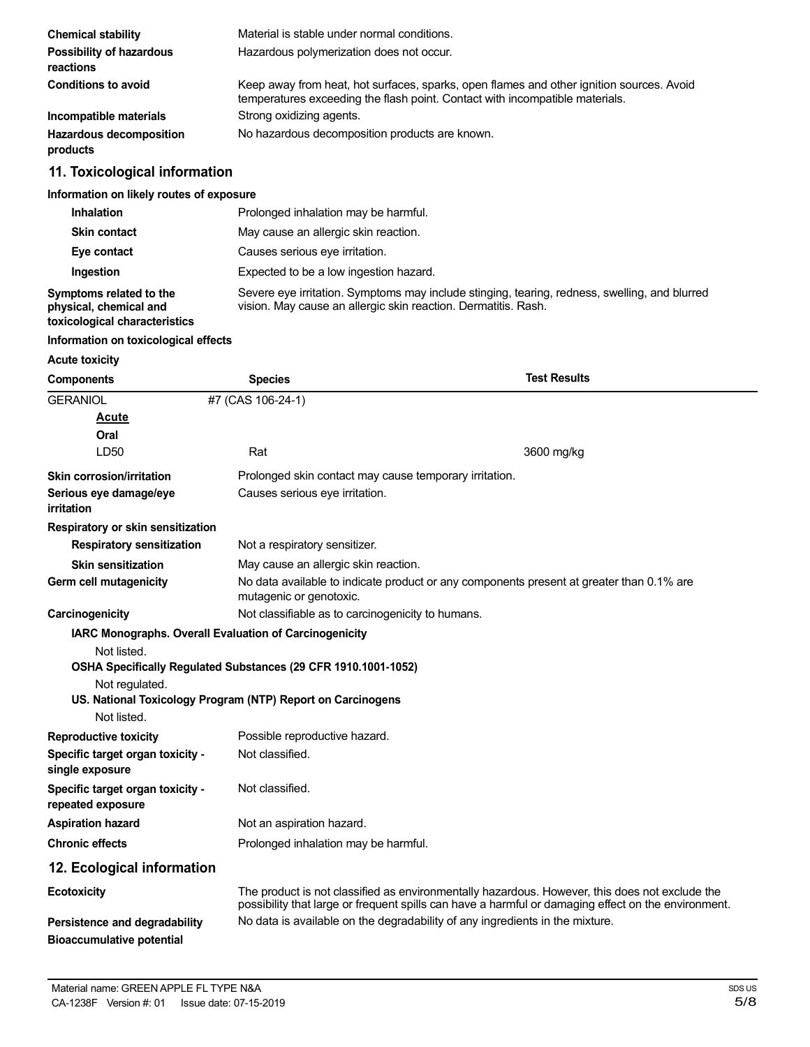| <b>Chemical stability</b>                  | Material is stable under normal conditions.                                                                                                                              |
|--------------------------------------------|--------------------------------------------------------------------------------------------------------------------------------------------------------------------------|
| Possibility of hazardous<br>reactions      | Hazardous polymerization does not occur.                                                                                                                                 |
| <b>Conditions to avoid</b>                 | Keep away from heat, hot surfaces, sparks, open flames and other ignition sources. Avoid<br>temperatures exceeding the flash point. Contact with incompatible materials. |
| Incompatible materials                     | Strong oxidizing agents.                                                                                                                                                 |
| <b>Hazardous decomposition</b><br>products | No hazardous decomposition products are known.                                                                                                                           |

## **11. Toxicological information**

## **Information on likely routes of exposure**

| <b>Inhalation</b>                                                                  | Prolonged inhalation may be harmful.                                                                                                                            |
|------------------------------------------------------------------------------------|-----------------------------------------------------------------------------------------------------------------------------------------------------------------|
| <b>Skin contact</b>                                                                | May cause an allergic skin reaction.                                                                                                                            |
| Eye contact                                                                        | Causes serious eye irritation.                                                                                                                                  |
| Ingestion                                                                          | Expected to be a low ingestion hazard.                                                                                                                          |
| Symptoms related to the<br>physical, chemical and<br>toxicological characteristics | Severe eye irritation. Symptoms may include stinging, tearing, redness, swelling, and blurred<br>vision. May cause an allergic skin reaction. Dermatitis. Rash. |

## **Information on toxicological effects**

## **Acute toxicity**

| <b>Components</b>                                   | <b>Species</b>                                                 | <b>Test Results</b>                                                                                                                                                                                   |  |
|-----------------------------------------------------|----------------------------------------------------------------|-------------------------------------------------------------------------------------------------------------------------------------------------------------------------------------------------------|--|
| <b>GERANIOL</b>                                     | #7 (CAS 106-24-1)                                              |                                                                                                                                                                                                       |  |
| <b>Acute</b>                                        |                                                                |                                                                                                                                                                                                       |  |
| Oral                                                |                                                                |                                                                                                                                                                                                       |  |
| LD50                                                | Rat                                                            | 3600 mg/kg                                                                                                                                                                                            |  |
| Skin corrosion/irritation                           | Prolonged skin contact may cause temporary irritation.         |                                                                                                                                                                                                       |  |
| Serious eye damage/eye<br>irritation                | Causes serious eye irritation.                                 |                                                                                                                                                                                                       |  |
| Respiratory or skin sensitization                   |                                                                |                                                                                                                                                                                                       |  |
| <b>Respiratory sensitization</b>                    | Not a respiratory sensitizer.                                  |                                                                                                                                                                                                       |  |
| <b>Skin sensitization</b>                           | May cause an allergic skin reaction.                           |                                                                                                                                                                                                       |  |
| Germ cell mutagenicity                              | mutagenic or genotoxic.                                        | No data available to indicate product or any components present at greater than 0.1% are                                                                                                              |  |
| Carcinogenicity                                     |                                                                | Not classifiable as to carcinogenicity to humans.                                                                                                                                                     |  |
|                                                     | <b>IARC Monographs. Overall Evaluation of Carcinogenicity</b>  |                                                                                                                                                                                                       |  |
| Not listed.                                         |                                                                |                                                                                                                                                                                                       |  |
|                                                     | OSHA Specifically Regulated Substances (29 CFR 1910.1001-1052) |                                                                                                                                                                                                       |  |
| Not regulated.                                      | US. National Toxicology Program (NTP) Report on Carcinogens    |                                                                                                                                                                                                       |  |
| Not listed.                                         |                                                                |                                                                                                                                                                                                       |  |
| <b>Reproductive toxicity</b>                        | Possible reproductive hazard.                                  |                                                                                                                                                                                                       |  |
| Specific target organ toxicity -<br>single exposure | Not classified.                                                |                                                                                                                                                                                                       |  |
| Specific target organ toxicity -                    | Not classified.                                                |                                                                                                                                                                                                       |  |
| repeated exposure                                   |                                                                |                                                                                                                                                                                                       |  |
| <b>Aspiration hazard</b>                            | Not an aspiration hazard.                                      |                                                                                                                                                                                                       |  |
| <b>Chronic effects</b>                              | Prolonged inhalation may be harmful.                           |                                                                                                                                                                                                       |  |
| 12. Ecological information                          |                                                                |                                                                                                                                                                                                       |  |
| <b>Ecotoxicity</b>                                  |                                                                | The product is not classified as environmentally hazardous. However, this does not exclude the<br>possibility that large or frequent spills can have a harmful or damaging effect on the environment. |  |
| Persistence and degradability                       |                                                                | No data is available on the degradability of any ingredients in the mixture.                                                                                                                          |  |
| <b>Bioaccumulative potential</b>                    |                                                                |                                                                                                                                                                                                       |  |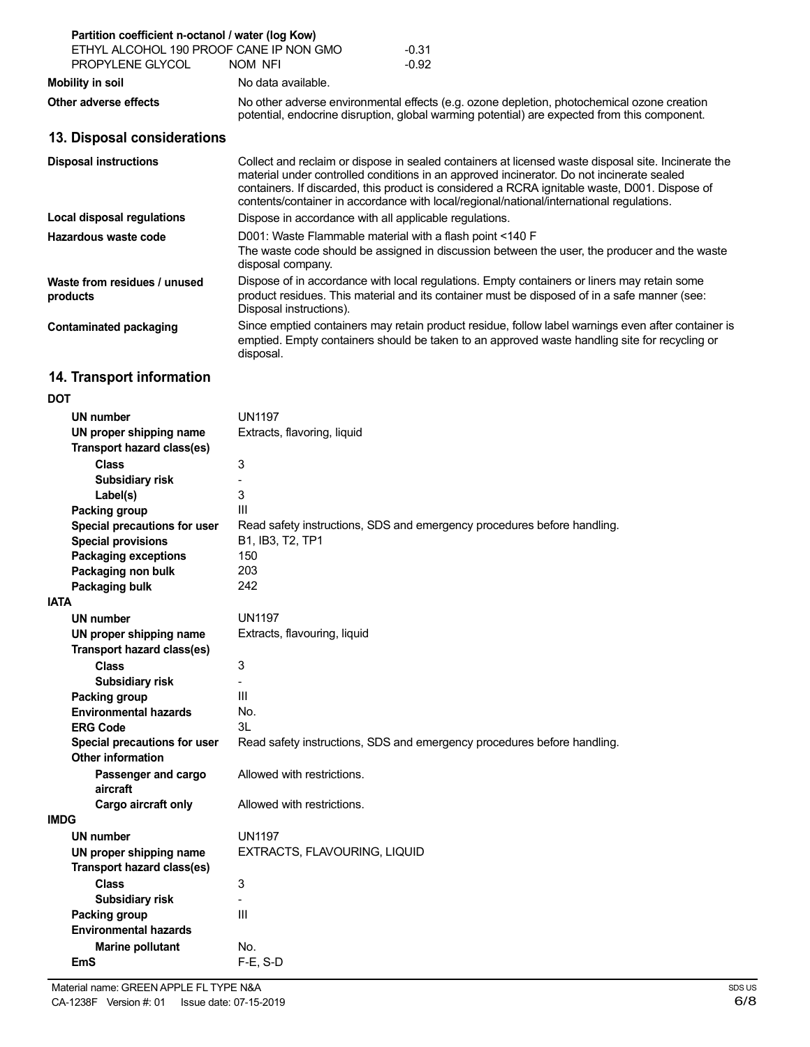| Partition coefficient n-octanol / water (log Kow)           |                                                                               |                                                                                                                                                                                                                                                                                                                                                                                               |
|-------------------------------------------------------------|-------------------------------------------------------------------------------|-----------------------------------------------------------------------------------------------------------------------------------------------------------------------------------------------------------------------------------------------------------------------------------------------------------------------------------------------------------------------------------------------|
| ETHYL ALCOHOL 190 PROOF CANE IP NON GMO<br>PROPYLENE GLYCOL | NOM NFI                                                                       | $-0.31$<br>$-0.92$                                                                                                                                                                                                                                                                                                                                                                            |
| Mobility in soil                                            | No data available.                                                            |                                                                                                                                                                                                                                                                                                                                                                                               |
| Other adverse effects                                       |                                                                               | No other adverse environmental effects (e.g. ozone depletion, photochemical ozone creation<br>potential, endocrine disruption, global warming potential) are expected from this component.                                                                                                                                                                                                    |
| 13. Disposal considerations                                 |                                                                               |                                                                                                                                                                                                                                                                                                                                                                                               |
| <b>Disposal instructions</b>                                |                                                                               | Collect and reclaim or dispose in sealed containers at licensed waste disposal site. Incinerate the<br>material under controlled conditions in an approved incinerator. Do not incinerate sealed<br>containers. If discarded, this product is considered a RCRA ignitable waste, D001. Dispose of<br>contents/container in accordance with local/regional/national/international regulations. |
| Local disposal regulations                                  | Dispose in accordance with all applicable regulations.                        |                                                                                                                                                                                                                                                                                                                                                                                               |
| Hazardous waste code                                        | D001: Waste Flammable material with a flash point <140 F<br>disposal company. | The waste code should be assigned in discussion between the user, the producer and the waste                                                                                                                                                                                                                                                                                                  |
| Waste from residues / unused<br>products                    | Disposal instructions).                                                       | Dispose of in accordance with local regulations. Empty containers or liners may retain some<br>product residues. This material and its container must be disposed of in a safe manner (see:                                                                                                                                                                                                   |
| <b>Contaminated packaging</b>                               | disposal.                                                                     | Since emptied containers may retain product residue, follow label warnings even after container is<br>emptied. Empty containers should be taken to an approved waste handling site for recycling or                                                                                                                                                                                           |

## **14. Transport information**

## **DOT**

| UN number                         | <b>UN1197</b>                                                           |
|-----------------------------------|-------------------------------------------------------------------------|
| UN proper shipping name           | Extracts, flavoring, liquid                                             |
| <b>Transport hazard class(es)</b> |                                                                         |
| <b>Class</b>                      | 3                                                                       |
| <b>Subsidiary risk</b>            |                                                                         |
| Label(s)                          | 3                                                                       |
| Packing group                     | III                                                                     |
| Special precautions for user      | Read safety instructions, SDS and emergency procedures before handling. |
| <b>Special provisions</b>         | B1, IB3, T2, TP1                                                        |
| <b>Packaging exceptions</b>       | 150                                                                     |
| Packaging non bulk                | 203                                                                     |
| Packaging bulk                    | 242                                                                     |
| <b>IATA</b>                       |                                                                         |
| <b>UN number</b>                  | <b>UN1197</b>                                                           |
| UN proper shipping name           | Extracts, flavouring, liquid                                            |
| <b>Transport hazard class(es)</b> |                                                                         |
| <b>Class</b>                      | 3                                                                       |
| Subsidiary risk                   |                                                                         |
| Packing group                     | III                                                                     |
| <b>Environmental hazards</b>      | No.                                                                     |
| <b>ERG Code</b>                   | 3L                                                                      |
| Special precautions for user      | Read safety instructions, SDS and emergency procedures before handling. |
| <b>Other information</b>          |                                                                         |
| Passenger and cargo               | Allowed with restrictions.                                              |
| aircraft                          |                                                                         |
| Cargo aircraft only               | Allowed with restrictions.                                              |
| <b>IMDG</b>                       |                                                                         |
| <b>UN number</b>                  | <b>UN1197</b>                                                           |
| UN proper shipping name           | EXTRACTS, FLAVOURING, LIQUID                                            |
| <b>Transport hazard class(es)</b> |                                                                         |
| <b>Class</b>                      | 3                                                                       |
| Subsidiary risk                   |                                                                         |
| Packing group                     | $\mathbf{III}$                                                          |
| <b>Environmental hazards</b>      |                                                                         |
| <b>Marine pollutant</b>           | No.                                                                     |
| <b>EmS</b>                        | $F-E. S-D$                                                              |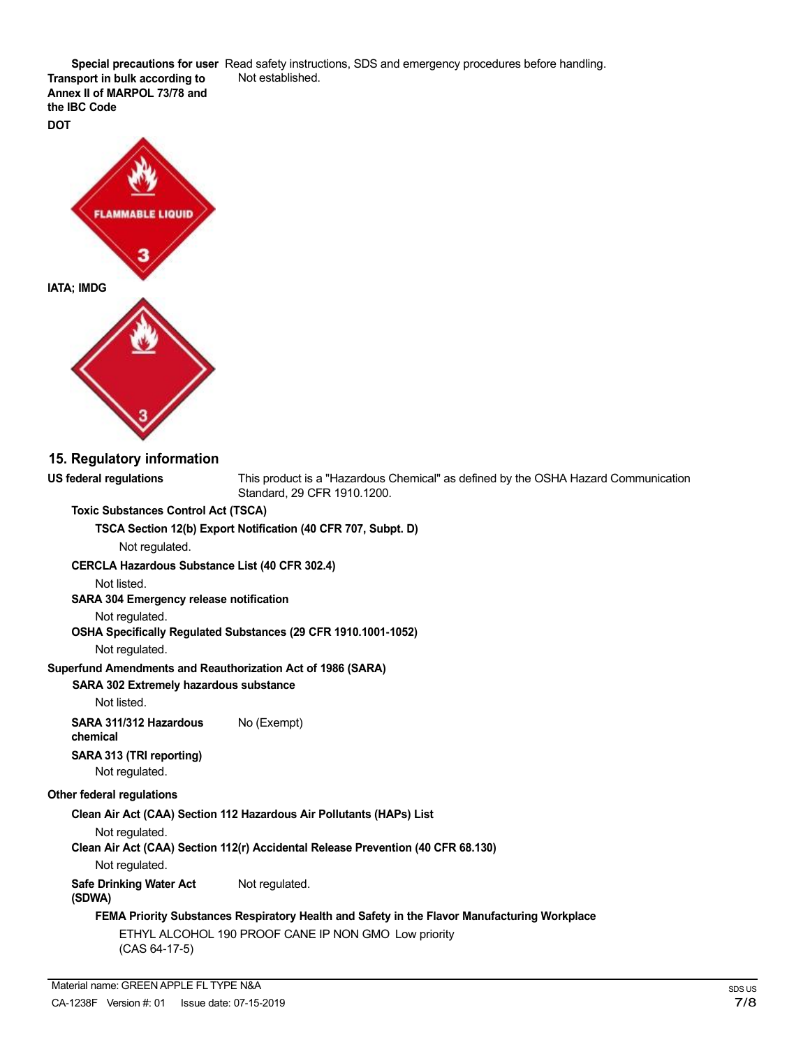**Special precautions for user** Read safety instructions, SDS and emergency procedures before handling. Not established.

**Transport in bulk according to Annex II of MARPOL 73/78 and the IBC Code DOT**



## **15. Regulatory information**

**US federal regulations** This product is a "Hazardous Chemical" as defined by the OSHA Hazard Communication Standard, 29 CFR 1910.1200.

#### **Toxic Substances Control Act (TSCA)**

**TSCA Section 12(b) Export Notification (40 CFR 707, Subpt. D)**

Not regulated.

**CERCLA Hazardous Substance List (40 CFR 302.4)**

Not listed.

**SARA 304 Emergency release notification**

Not regulated.

**OSHA Specifically Regulated Substances (29 CFR 1910.1001-1052)**

Not regulated.

**Superfund Amendments and Reauthorization Act of 1986 (SARA)**

## **SARA 302 Extremely hazardous substance**

Not listed.

**SARA 311/312 Hazardous** No (Exempt) **chemical**

## **SARA 313 (TRI reporting)**

Not regulated.

#### **Other federal regulations**

**Clean Air Act (CAA) Section 112 Hazardous Air Pollutants (HAPs) List**

Not regulated.

**Clean Air Act (CAA) Section 112(r) Accidental Release Prevention (40 CFR 68.130)**

Not regulated.

**Safe Drinking Water Act** Not regulated.

## **(SDWA)**

## **FEMA Priority Substances Respiratory Health and Safety in the Flavor Manufacturing Workplace**

ETHYL ALCOHOL 190 PROOF CANE IP NON GMO Low priority (CAS 64-17-5)